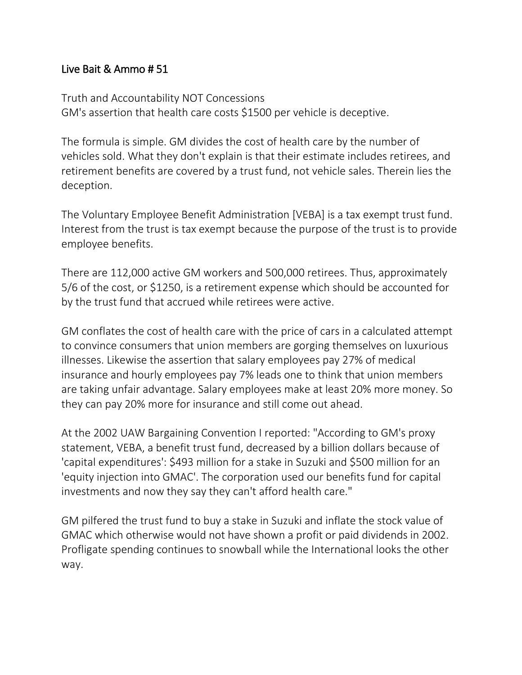## Live Bait & Ammo # 51

Truth and Accountability NOT Concessions GM's assertion that health care costs \$1500 per vehicle is deceptive.

The formula is simple. GM divides the cost of health care by the number of vehicles sold. What they don't explain is that their estimate includes retirees, and retirement benefits are covered by a trust fund, not vehicle sales. Therein lies the deception.

The Voluntary Employee Benefit Administration [VEBA] is a tax exempt trust fund. Interest from the trust is tax exempt because the purpose of the trust is to provide employee benefits.

There are 112,000 active GM workers and 500,000 retirees. Thus, approximately 5/6 of the cost, or \$1250, is a retirement expense which should be accounted for by the trust fund that accrued while retirees were active.

GM conflates the cost of health care with the price of cars in a calculated attempt to convince consumers that union members are gorging themselves on luxurious illnesses. Likewise the assertion that salary employees pay 27% of medical insurance and hourly employees pay 7% leads one to think that union members are taking unfair advantage. Salary employees make at least 20% more money. So they can pay 20% more for insurance and still come out ahead.

At the 2002 UAW Bargaining Convention I reported: "According to GM's proxy statement, VEBA, a benefit trust fund, decreased by a billion dollars because of 'capital expenditures': \$493 million for a stake in Suzuki and \$500 million for an 'equity injection into GMAC'. The corporation used our benefits fund for capital investments and now they say they can't afford health care."

GM pilfered the trust fund to buy a stake in Suzuki and inflate the stock value of GMAC which otherwise would not have shown a profit or paid dividends in 2002. Profligate spending continues to snowball while the International looks the other way.